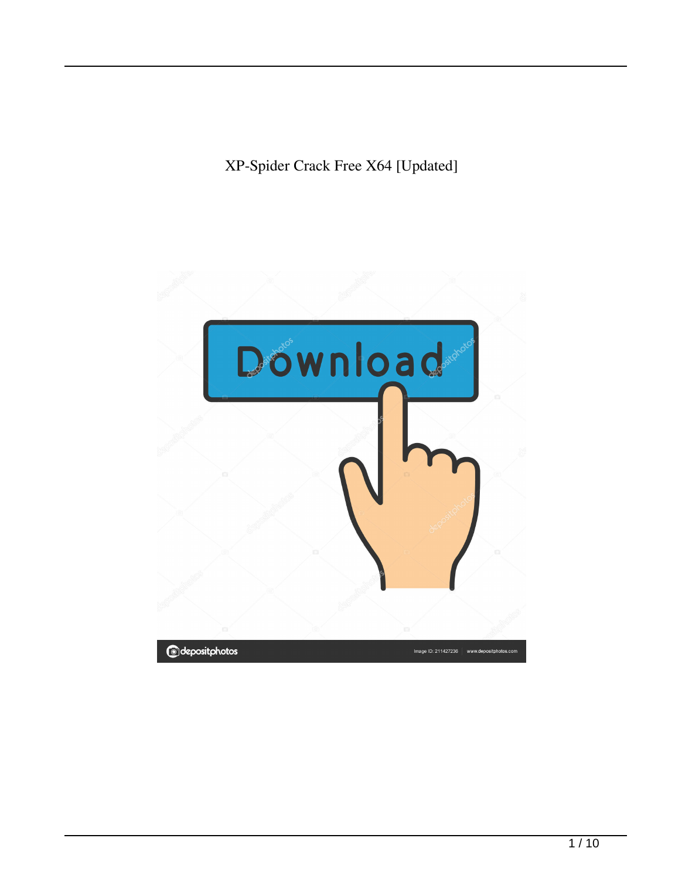XP-Spider Crack Free X64 [Updated]

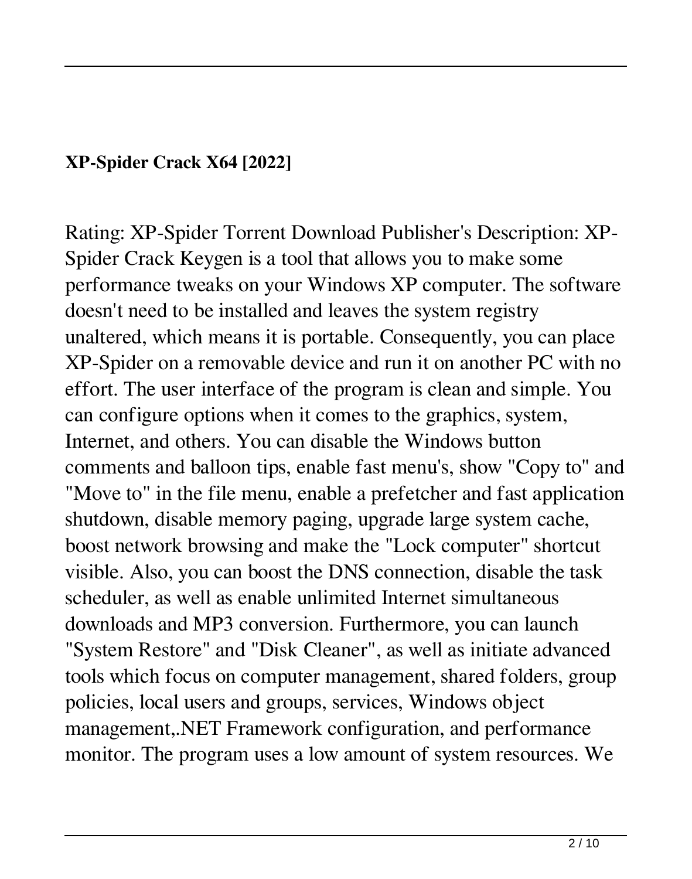## **XP-Spider Crack X64 [2022]**

Rating: XP-Spider Torrent Download Publisher's Description: XP-Spider Crack Keygen is a tool that allows you to make some performance tweaks on your Windows XP computer. The software doesn't need to be installed and leaves the system registry unaltered, which means it is portable. Consequently, you can place XP-Spider on a removable device and run it on another PC with no effort. The user interface of the program is clean and simple. You can configure options when it comes to the graphics, system, Internet, and others. You can disable the Windows button comments and balloon tips, enable fast menu's, show "Copy to" and "Move to" in the file menu, enable a prefetcher and fast application shutdown, disable memory paging, upgrade large system cache, boost network browsing and make the "Lock computer" shortcut visible. Also, you can boost the DNS connection, disable the task scheduler, as well as enable unlimited Internet simultaneous downloads and MP3 conversion. Furthermore, you can launch "System Restore" and "Disk Cleaner", as well as initiate advanced tools which focus on computer management, shared folders, group policies, local users and groups, services, Windows object management,.NET Framework configuration, and performance monitor. The program uses a low amount of system resources. We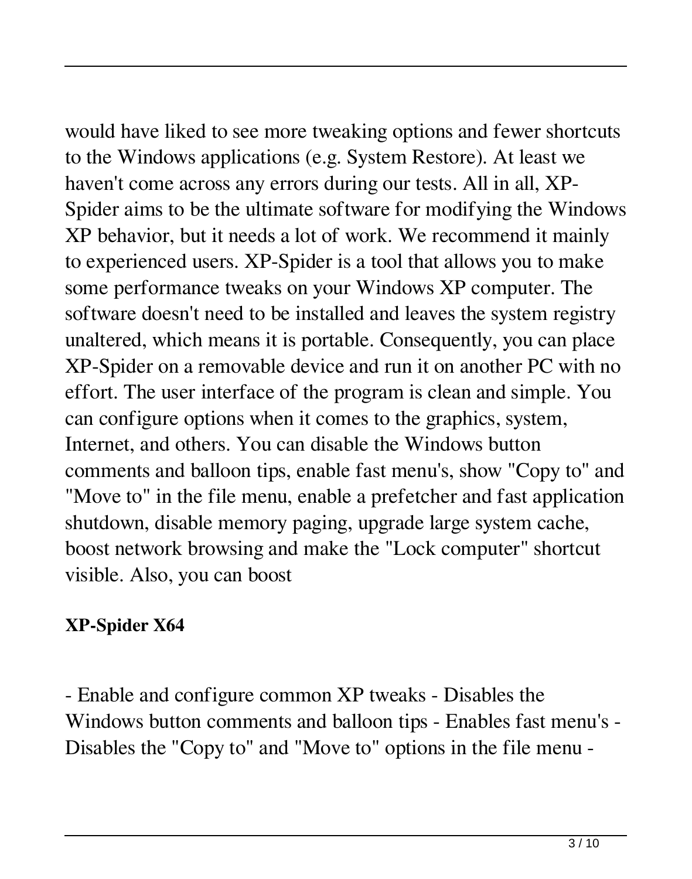would have liked to see more tweaking options and fewer shortcuts to the Windows applications (e.g. System Restore). At least we haven't come across any errors during our tests. All in all, XP-Spider aims to be the ultimate software for modifying the Windows XP behavior, but it needs a lot of work. We recommend it mainly to experienced users. XP-Spider is a tool that allows you to make some performance tweaks on your Windows XP computer. The software doesn't need to be installed and leaves the system registry unaltered, which means it is portable. Consequently, you can place XP-Spider on a removable device and run it on another PC with no effort. The user interface of the program is clean and simple. You can configure options when it comes to the graphics, system, Internet, and others. You can disable the Windows button comments and balloon tips, enable fast menu's, show "Copy to" and "Move to" in the file menu, enable a prefetcher and fast application shutdown, disable memory paging, upgrade large system cache, boost network browsing and make the "Lock computer" shortcut visible. Also, you can boost

# **XP-Spider X64**

- Enable and configure common XP tweaks - Disables the Windows button comments and balloon tips - Enables fast menu's - Disables the "Copy to" and "Move to" options in the file menu -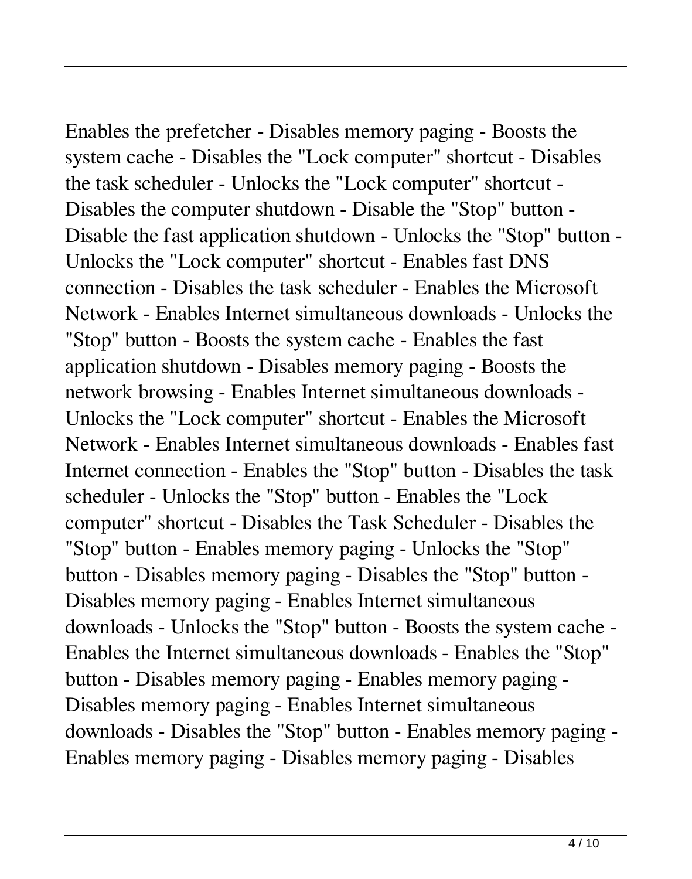Enables the prefetcher - Disables memory paging - Boosts the system cache - Disables the "Lock computer" shortcut - Disables the task scheduler - Unlocks the "Lock computer" shortcut - Disables the computer shutdown - Disable the "Stop" button - Disable the fast application shutdown - Unlocks the "Stop" button - Unlocks the "Lock computer" shortcut - Enables fast DNS connection - Disables the task scheduler - Enables the Microsoft Network - Enables Internet simultaneous downloads - Unlocks the "Stop" button - Boosts the system cache - Enables the fast application shutdown - Disables memory paging - Boosts the network browsing - Enables Internet simultaneous downloads - Unlocks the "Lock computer" shortcut - Enables the Microsoft Network - Enables Internet simultaneous downloads - Enables fast Internet connection - Enables the "Stop" button - Disables the task scheduler - Unlocks the "Stop" button - Enables the "Lock computer" shortcut - Disables the Task Scheduler - Disables the "Stop" button - Enables memory paging - Unlocks the "Stop" button - Disables memory paging - Disables the "Stop" button - Disables memory paging - Enables Internet simultaneous downloads - Unlocks the "Stop" button - Boosts the system cache - Enables the Internet simultaneous downloads - Enables the "Stop" button - Disables memory paging - Enables memory paging - Disables memory paging - Enables Internet simultaneous downloads - Disables the "Stop" button - Enables memory paging - Enables memory paging - Disables memory paging - Disables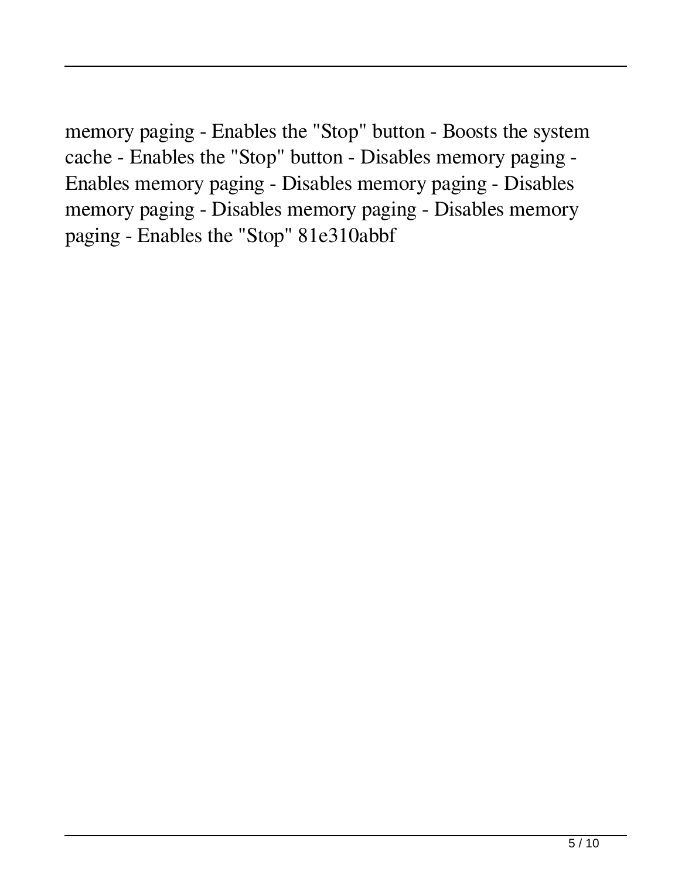memory paging - Enables the "Stop" button - Boosts the system cache - Enables the "Stop" button - Disables memory paging - Enables memory paging - Disables memory paging - Disables memory paging - Disables memory paging - Disables memory paging - Enables the "Stop" 81e310abbf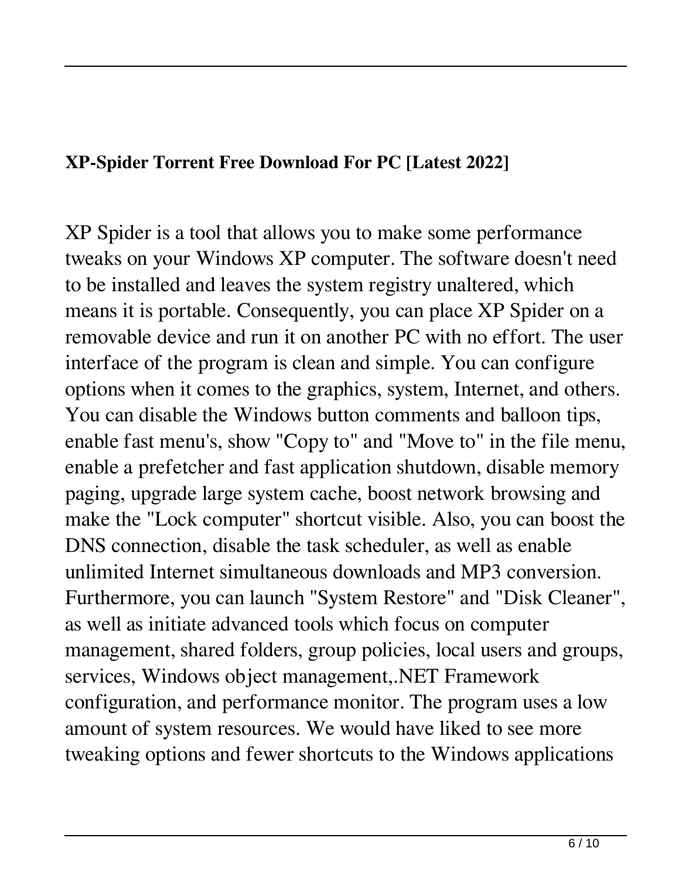## **XP-Spider Torrent Free Download For PC [Latest 2022]**

XP Spider is a tool that allows you to make some performance tweaks on your Windows XP computer. The software doesn't need to be installed and leaves the system registry unaltered, which means it is portable. Consequently, you can place XP Spider on a removable device and run it on another PC with no effort. The user interface of the program is clean and simple. You can configure options when it comes to the graphics, system, Internet, and others. You can disable the Windows button comments and balloon tips, enable fast menu's, show "Copy to" and "Move to" in the file menu, enable a prefetcher and fast application shutdown, disable memory paging, upgrade large system cache, boost network browsing and make the "Lock computer" shortcut visible. Also, you can boost the DNS connection, disable the task scheduler, as well as enable unlimited Internet simultaneous downloads and MP3 conversion. Furthermore, you can launch "System Restore" and "Disk Cleaner", as well as initiate advanced tools which focus on computer management, shared folders, group policies, local users and groups, services, Windows object management,.NET Framework configuration, and performance monitor. The program uses a low amount of system resources. We would have liked to see more tweaking options and fewer shortcuts to the Windows applications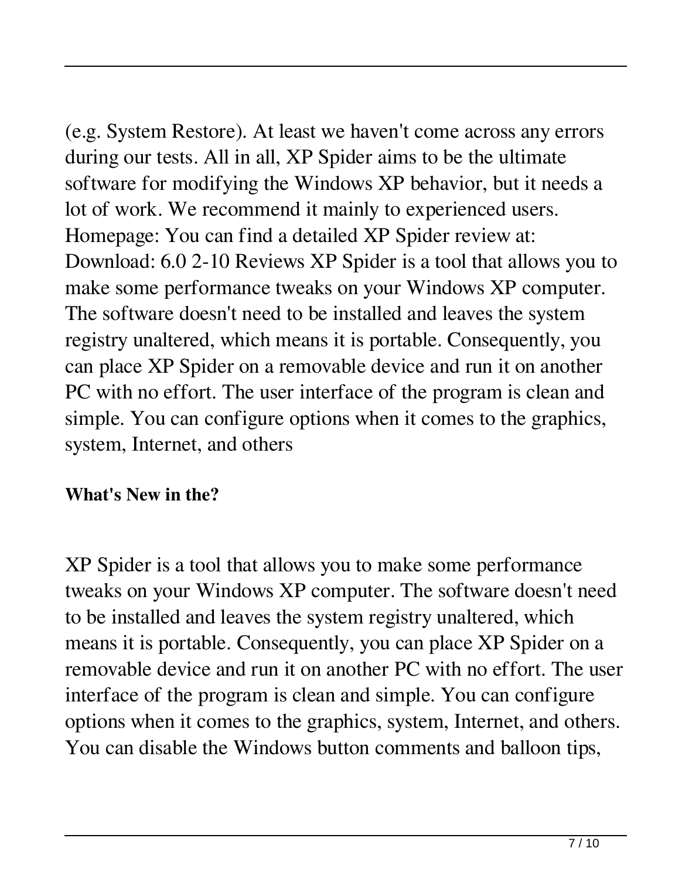(e.g. System Restore). At least we haven't come across any errors during our tests. All in all, XP Spider aims to be the ultimate software for modifying the Windows XP behavior, but it needs a lot of work. We recommend it mainly to experienced users. Homepage: You can find a detailed XP Spider review at: Download: 6.0 2-10 Reviews XP Spider is a tool that allows you to make some performance tweaks on your Windows XP computer. The software doesn't need to be installed and leaves the system registry unaltered, which means it is portable. Consequently, you can place XP Spider on a removable device and run it on another PC with no effort. The user interface of the program is clean and simple. You can configure options when it comes to the graphics, system, Internet, and others

## **What's New in the?**

XP Spider is a tool that allows you to make some performance tweaks on your Windows XP computer. The software doesn't need to be installed and leaves the system registry unaltered, which means it is portable. Consequently, you can place XP Spider on a removable device and run it on another PC with no effort. The user interface of the program is clean and simple. You can configure options when it comes to the graphics, system, Internet, and others. You can disable the Windows button comments and balloon tips,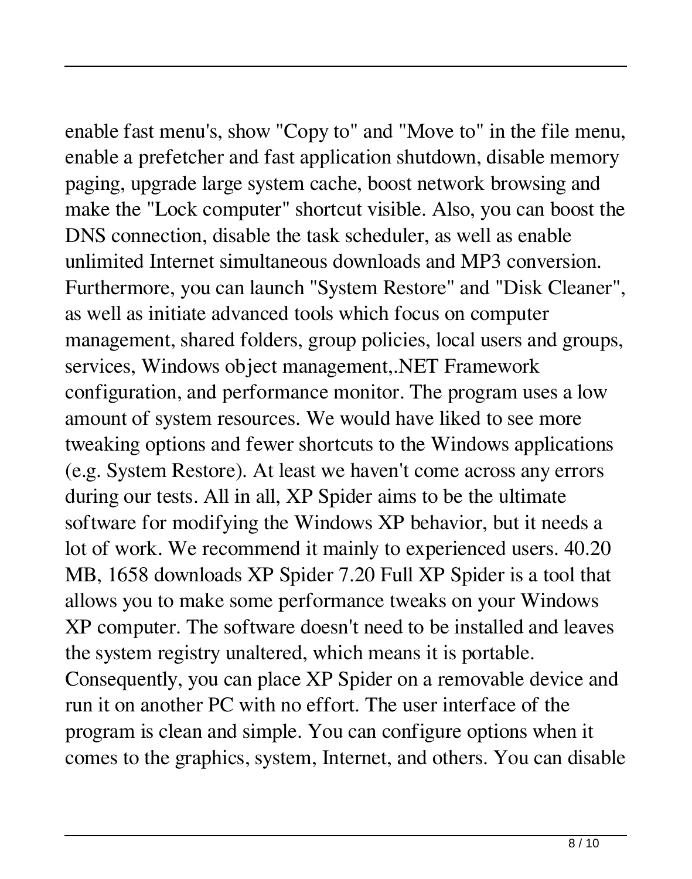enable fast menu's, show "Copy to" and "Move to" in the file menu, enable a prefetcher and fast application shutdown, disable memory paging, upgrade large system cache, boost network browsing and make the "Lock computer" shortcut visible. Also, you can boost the DNS connection, disable the task scheduler, as well as enable unlimited Internet simultaneous downloads and MP3 conversion. Furthermore, you can launch "System Restore" and "Disk Cleaner", as well as initiate advanced tools which focus on computer management, shared folders, group policies, local users and groups, services, Windows object management,.NET Framework configuration, and performance monitor. The program uses a low amount of system resources. We would have liked to see more tweaking options and fewer shortcuts to the Windows applications (e.g. System Restore). At least we haven't come across any errors during our tests. All in all, XP Spider aims to be the ultimate software for modifying the Windows XP behavior, but it needs a lot of work. We recommend it mainly to experienced users. 40.20 MB, 1658 downloads XP Spider 7.20 Full XP Spider is a tool that allows you to make some performance tweaks on your Windows XP computer. The software doesn't need to be installed and leaves the system registry unaltered, which means it is portable. Consequently, you can place XP Spider on a removable device and run it on another PC with no effort. The user interface of the program is clean and simple. You can configure options when it comes to the graphics, system, Internet, and others. You can disable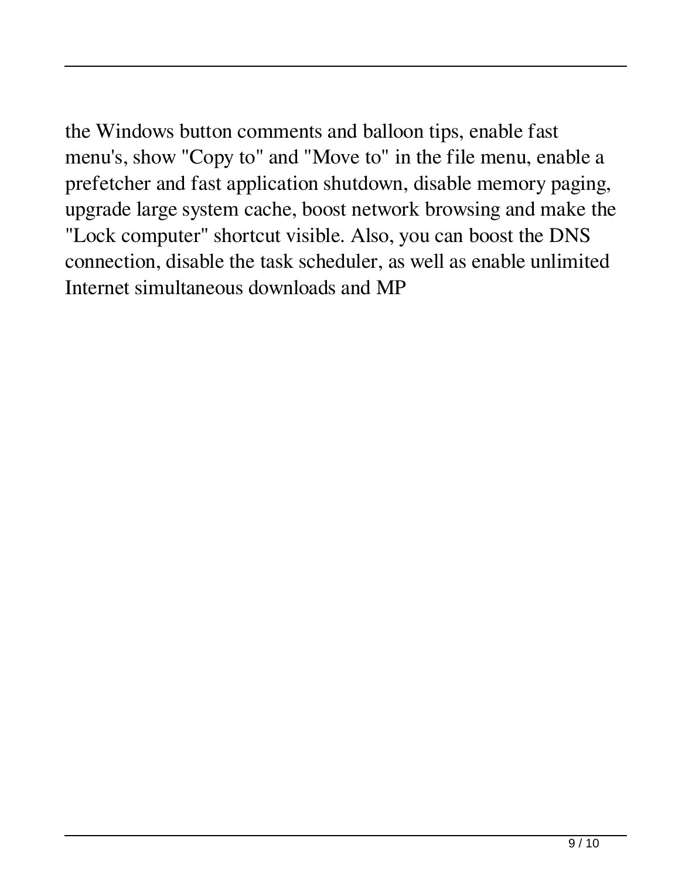the Windows button comments and balloon tips, enable fast menu's, show "Copy to" and "Move to" in the file menu, enable a prefetcher and fast application shutdown, disable memory paging, upgrade large system cache, boost network browsing and make the "Lock computer" shortcut visible. Also, you can boost the DNS connection, disable the task scheduler, as well as enable unlimited Internet simultaneous downloads and MP